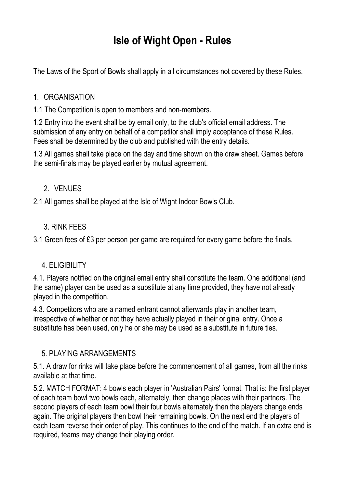# **Isle of Wight Open - Rules**

The Laws of the Sport of Bowls shall apply in all circumstances not covered by these Rules.

### 1. ORGANISATION

1.1 The Competition is open to members and non-members.

1.2 Entry into the event shall be by email only, to the club's official email address. The submission of any entry on behalf of a competitor shall imply acceptance of these Rules. Fees shall be determined by the club and published with the entry details.

1.3 All games shall take place on the day and time shown on the draw sheet. Games before the semi-finals may be played earlier by mutual agreement.

## 2. VENUES

2.1 All games shall be played at the Isle of Wight Indoor Bowls Club.

## 3. RINK FEES

3.1 Green fees of £3 per person per game are required for every game before the finals.

## 4. ELIGIBILITY

4.1. Players notified on the original email entry shall constitute the team. One additional (and the same) player can be used as a substitute at any time provided, they have not already played in the competition.

4.3. Competitors who are a named entrant cannot afterwards play in another team, irrespective of whether or not they have actually played in their original entry. Once a substitute has been used, only he or she may be used as a substitute in future ties.

## 5. PLAYING ARRANGEMENTS

5.1. A draw for rinks will take place before the commencement of all games, from all the rinks available at that time.

5.2. MATCH FORMAT: 4 bowls each player in 'Australian Pairs' format. That is: the first player of each team bowl two bowls each, alternately, then change places with their partners. The second players of each team bowl their four bowls alternately then the players change ends again. The original players then bowl their remaining bowls. On the next end the players of each team reverse their order of play. This continues to the end of the match. If an extra end is required, teams may change their playing order.